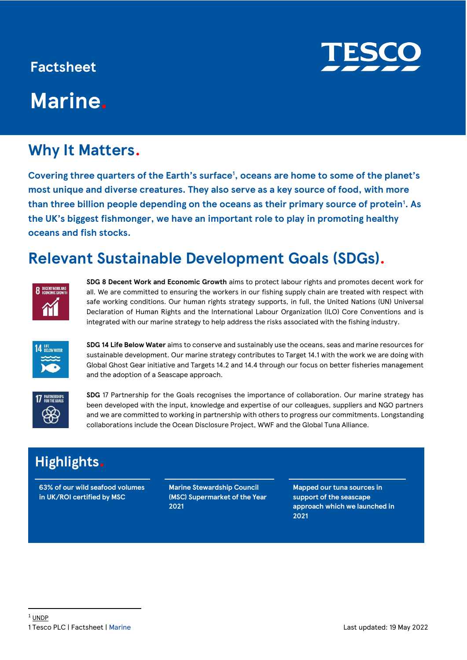### **Factsheet**

# **Marine.**

## **Why It Matters.**

**Covering three quarters of the Earth's surface<sup>1</sup> , oceans are home to some of the planet's most unique and diverse creatures. They also serve as a key source of food, with more than three billion people depending on the oceans as their primary source of protein<sup>1</sup> . As the UK's biggest fishmonger, we have an important role to play in promoting healthy oceans and fish stocks.** 

## **Relevant Sustainable Development Goals (SDGs).**



**SDG 8 Decent Work and Economic Growth** aims to protect labour rights and promotes decent work for all. We are committed to ensuring the workers in our fishing supply chain are treated with respect with safe working conditions. Our human rights strategy supports, in full, the United Nations (UN) Universal Declaration of Human Rights and the International Labour Organization (ILO) Core Conventions and is integrated with our marine strategy to help address the risks associated with the fishing industry.



**SDG 14 Life Below Water** aims to conserve and sustainably use the oceans, seas and marine resources for sustainable development. Our marine strategy contributes to Target 14.1 with the work we are doing with Global Ghost Gear initiative and Targets 14.2 and 14.4 through our focus on better fisheries management and the adoption of a Seascape approach.



**SDG** 17 Partnership for the Goals recognises the importance of collaboration. Our marine strategy has been developed with the input, knowledge and expertise of our colleagues, suppliers and NGO partners and we are committed to working in partnership with others to progress our commitments. Longstanding collaborations include the Ocean Disclosure Project, WWF and the Global Tuna Alliance.

## **Highlights.**

**63% of our wild seafood volumes in UK/ROI certified by MSC**

**Marine Stewardship Council (MSC) Supermarket of the Year 2021**

**Mapped our tuna sources in support of the seascape approach which we launched in 2021**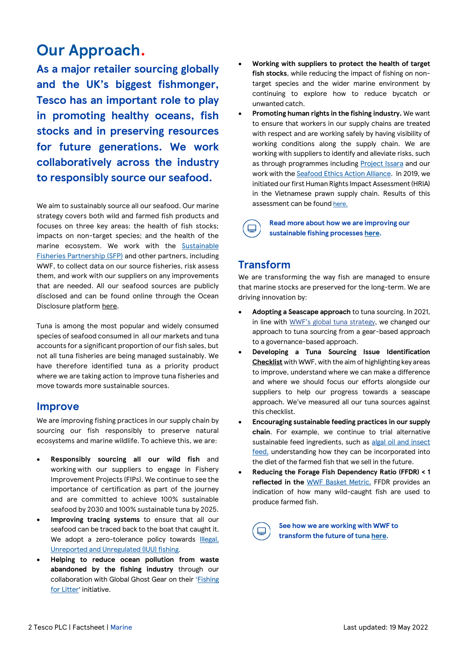## **Our Approach.**

**As a major retailer sourcing globally and the UK's biggest fishmonger, Tesco has an important role to play in promoting healthy oceans, fish stocks and in preserving resources for future generations. We work collaboratively across the industry to responsibly source our seafood.**

We aim to sustainably source all our seafood. Our marine strategy covers both wild and farmed fish products and focuses on three key areas: the health of fish stocks; impacts on non-target species; and the health of the marine ecosystem. We work with the [Sustainable](https://www.sustainablefish.org/)  [Fisheries Partnership \(SFP\)](https://www.sustainablefish.org/) and other partners, including WWF, to collect data on our source fisheries, risk assess them, and work with our suppliers on any improvements that are needed. All our seafood sources are publicly disclosed and can be found online through the Ocean Disclosure platform [here.](http://www.oceandisclosureproject.org/)

Tuna is among the most popular and widely consumed species of seafood consumed in all our markets and tuna accounts for a significant proportion of our fish sales, but not all tuna fisheries are being managed sustainably. We have therefore identified tuna as a priority product where we are taking action to improve tuna fisheries and move towards more sustainable sources.

#### **Improve**

We are improving fishing practices in our supply chain by sourcing our fish responsibly to preserve natural ecosystems and marine wildlife. To achieve this, we are:

- **Responsibly sourcing all our wild fish** and working with our suppliers to engage in Fishery Improvement Projects (FIPs). We continue to see the importance of certification as part of the journey and are committed to achieve 100% sustainable seafood by 2030 and 100% sustainable tuna by 2025.
- **Improving tracing systems** to ensure that all our seafood can be traced back to the boat that caught it. We adopt a zero-tolerance policy towards Illegal, [Unreported and Unregulated \(IUU\) fishing.](http://www.fao.org/iuu-fishing/en/)
- **Helping to reduce ocean pollution from waste abandoned by the fishing industry** through our collaboration with Global Ghost Gear on their '[Fishing](http://www.fishingforlitter.org.uk/blog/article/25/2019/06/23/lochinver-children-get-their-wish-by-recruiting-the-20th-fishing-for-litter-harbour-in-scotland)  [for Litter](http://www.fishingforlitter.org.uk/blog/article/25/2019/06/23/lochinver-children-get-their-wish-by-recruiting-the-20th-fishing-for-litter-harbour-in-scotland)' initiative.
- **Working with suppliers to protect the health of target fish stocks**, while reducing the impact of fishing on nontarget species and the wider marine environment by continuing to explore how to reduce bycatch or unwanted catch.
- **Promoting human rights in the fishing industry.** We want to ensure that workers in our supply chains are treated with respect and are working safely by having visibility of working conditions along the supply chain. We are working with suppliers to identify and alleviate risks, such as through programmes including [Project Issara](https://www.issarainstitute.org/) and our work with th[e Seafood Ethics Action Alliance.](https://www.seafish.org/responsible-sourcing/social-responsibility-in-seafood/seafood-ethics-action-alliance/) In 2019, we initiated our first Human Rights Impact Assessment (HRIA) in the Vietnamese prawn supply chain. Results of this assessment can be found [here.](https://www.tescoplc.com/media/758000/hria-of-tesco-s-shrimp-supply-chain-in-vietnam.pdf)

 $\Box$ 

#### **Read more about how we are improving our sustainable fishing processes [here.](https://www.tescoplc.com/sustainability/taking-action/environment/marine/)**

#### **Transform**

We are transforming the way fish are managed to ensure that marine stocks are preserved for the long-term. We are driving innovation by:

- **Adopting a Seascape approach** to tuna sourcing. In 2021, in line with [WWF's global tuna strategy](https://www.wwf.org.uk/transforming-the-future-of-tuna), we changed our approach to tuna sourcing from a gear-based approach to a governance-based approach.
- **Developing a Tuna Sourcing Issue Identification [Checklist](https://www.wwf.org.uk/sites/default/files/2022-03/WWFUK_TUNA_ID_CHECKLIST_F_MAR2022.pdf)** with WWF, with the aim of highlighting key areas to improve, understand where we can make a difference and where we should focus our efforts alongside our suppliers to help our progress towards a seascape approach. We've measured all our tuna sources against this checklist.
- **Encouraging sustainable feeding practices in our supply chain**. For example, we continue to trial alternative sustainable feed ingredients, such as algal oil and insect [feed,](https://www.tescoplc.com/updates/2019/encouraging-sustainable-feeding-practices-in-the-aquaculture-industry/) understanding how they can be incorporated into the diet of the farmed fish that we sell in the future.
- **Reducing the Forage Fish Dependency Ratio (FFDR) < 1 reflected in the** [WWF Basket Metric.](https://www.wwf.org.uk/basket-metric/marine-sustainability) FFDR provides an indication of how many wild-caught fish are used to produce farmed fish.

**See how we are working with WWF to transform the future of tun[a here.](https://www.tescoplc.com/updates/2021/a-new-approach-to-responsible-tuna-sourcing-at-tesco/)**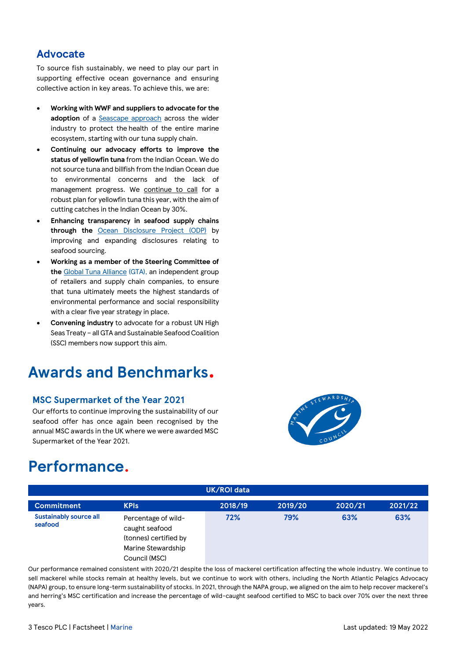#### **Advocate**

To source fish sustainably, we need to play our part in supporting effective ocean governance and ensuring collective action in key areas. To achieve this, we are:

- **Working with WWF and suppliers to advocate for the adoption** of a [Seascape approach](http://www.wwf.org.uk/transforming-the-future-of-tuna) across the wider industry to protect the health of the entire marine ecosystem, starting with our tuna supply chain.
- **Continuing our advocacy efforts to improve the status of yellowfin tuna** from the Indian Ocean. We do not source tuna and billfish from the Indian Ocean due to environmental concerns and the lack of management progress. We [continue to call](https://www.tescoplc.com/blog/tuna-transition-plan-one-year-on/) for a robust plan for yellowfin tuna this year, with the aim of cutting catches in the Indian Ocean by 30%.
- **Enhancing transparency in seafood supply chains through the** [Ocean Disclosure Project \(ODP\)](https://www.tescoplc.com/updates/2019/tesco-joins-ocean-disclosure-project/) by improving and expanding disclosures relating to seafood sourcing.
- **Working as a member of the Steering Committee of the** [Global Tuna Alliance](https://www.globaltunaalliance.com/) (GTA), an independent group of retailers and supply chain companies, to ensure that tuna ultimately meets the highest standards of environmental performance and social responsibility with a clear five year strategy in place.
- **Convening industry** to advocate for a robust UN High Seas Treaty – all GTA and Sustainable Seafood Coalition (SSC) members now support this aim.

## **Awards and Benchmarks.**

#### **MSC Supermarket of the Year 2021**

Our efforts to continue improving the sustainability of our seafood offer has once again been recognised by the annual MSC awards in the UK where we were awarded MSC Supermarket of the Year 2021.



## **Performance.**

| UK/ROI data                              |                                                                                      |         |         |         |         |  |
|------------------------------------------|--------------------------------------------------------------------------------------|---------|---------|---------|---------|--|
| <b>Commitment</b>                        | <b>KPIs</b>                                                                          | 2018/19 | 2019/20 | 2020/21 | 2021/22 |  |
| <b>Sustainably source all</b><br>seafood | Percentage of wild-<br>caught seafood<br>(tonnes) certified by<br>Marine Stewardship | 72%     | 79%     | 63%     | 63%     |  |
|                                          | Council (MSC)                                                                        |         |         |         |         |  |

Our performance remained consistent with 2020/21 despite the loss of mackerel certification affecting the whole industry. We continue to sell mackerel while stocks remain at healthy levels, but we continue to work with others, including the North Atlantic Pelagics Advocacy (NAPA) group, to ensure long-term sustainability of stocks. In 2021, through the NAPA group, we aligned on the aim to help recover mackerel's and herring's MSC certification and increase the percentage of wild-caught seafood certified to MSC to back over 70% over the next three years.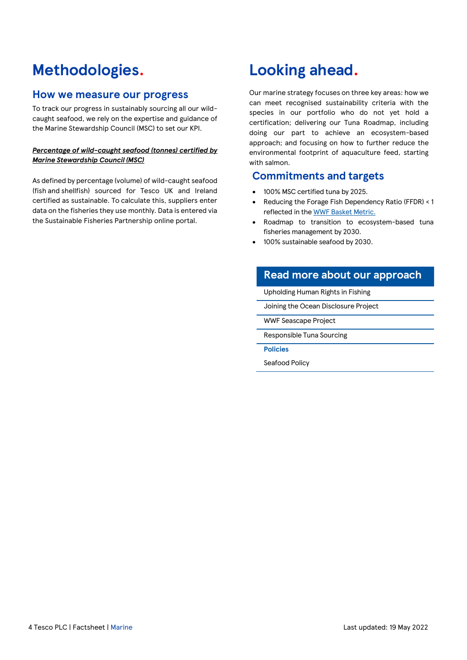## **Methodologies.**

#### **How we measure our progress**

To track our progress in sustainably sourcing all our wildcaught seafood, we rely on the expertise and guidance of the Marine Stewardship Council (MSC) to set our KPI.

#### *Percentage of wild-caught seafood (tonnes) certified by Marine Stewardship Council (MSC)*

As defined by percentage (volume) of wild-caught seafood (fish and shellfish) sourced for Tesco UK and Ireland certified as sustainable. To calculate this, suppliers enter data on the fisheries they use monthly. Data is entered via the Sustainable Fisheries Partnership online portal.

## **Looking ahead.**

Our marine strategy focuses on three key areas: how we can meet recognised sustainability criteria with the species in our portfolio who do not yet hold a certification; delivering our Tuna Roadmap, including doing our part to achieve an ecosystem-based approach; and focusing on how to further reduce the environmental footprint of aquaculture feed, starting with salmon.

#### **Commitments and targets**

- 100% MSC certified tuna by 2025.
- Reducing the Forage Fish Dependency Ratio (FFDR) < 1 reflected in th[e WWF Basket Metric.](https://www.wwf.org.uk/basket-metric/marine-sustainability)
- Roadmap to transition to ecosystem-based tuna fisheries management by 2030.
- 100% sustainable seafood by 2030.

### **Read more about our approach**

[Upholding Human Rights in Fishing](https://www.tescoplc.com/sustainability/documents/policies/our-approach-to-human-rights/)

[Joining the Ocean Disclosure Project](https://www.tescoplc.com/updates/2019/tesco-joins-ocean-disclosure-project/)

[WWF Seascape Project](https://www.wwf.org.uk/transforming-the-future-of-tuna)

[Responsible Tuna Sourcing](https://www.tescoplc.com/blog/tuna-fish-sourcing-tesco/)

**Policies**

[Seafood Policy](https://www.tescoplc.com/sustainability/documents/policies/sourcing-seafood-responsibly/)